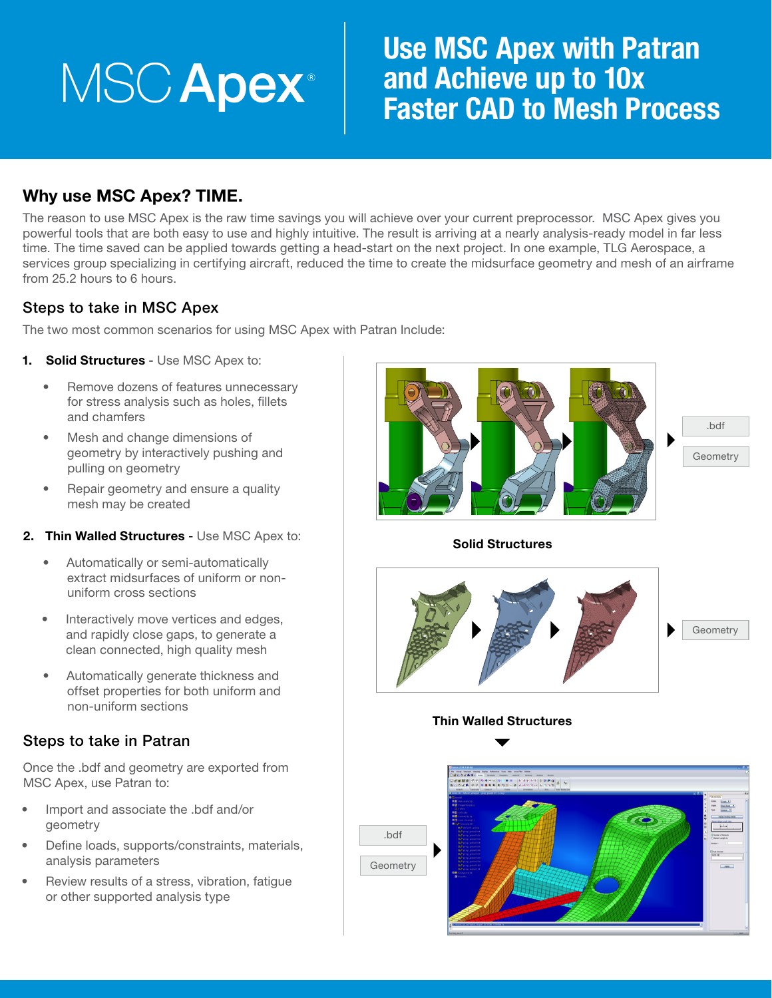# **MSC Apex**®

## Use MSC Apex with Patran and Achieve up to 10x Faster CAD to Mesh Process

## Why use MSC Apex? TIME.

The reason to use MSC Apex is the raw time savings you will achieve over your current preprocessor. MSC Apex gives you powerful tools that are both easy to use and highly intuitive. The result is arriving at a nearly analysis-ready model in far less time. The time saved can be applied towards getting a head-start on the next project. In one example, TLG Aerospace, a services group specializing in certifying aircraft, reduced the time to create the midsurface geometry and mesh of an airframe from 25.2 hours to 6 hours.

## Steps to take in MSC Apex

The two most common scenarios for using MSC Apex with Patran Include:

- 1. Solid Structures Use MSC Apex to:
	- Remove dozens of features unnecessary for stress analysis such as holes, fillets and chamfers
	- Mesh and change dimensions of geometry by interactively pushing and pulling on geometry
	- Repair geometry and ensure a quality mesh may be created
- 2. Thin Walled Structures Use MSC Apex to:
	- Automatically or semi-automatically extract midsurfaces of uniform or nonuniform cross sections
	- Interactively move vertices and edges, and rapidly close gaps, to generate a clean connected, high quality mesh
	- Automatically generate thickness and offset properties for both uniform and non-uniform sections

### Steps to take in Patran

Once the .bdf and geometry are exported from MSC Apex, use Patran to:

- Import and associate the .bdf and/or geometry
- Define loads, supports/constraints, materials, analysis parameters
- Review results of a stress, vibration, fatigue or other supported analysis type